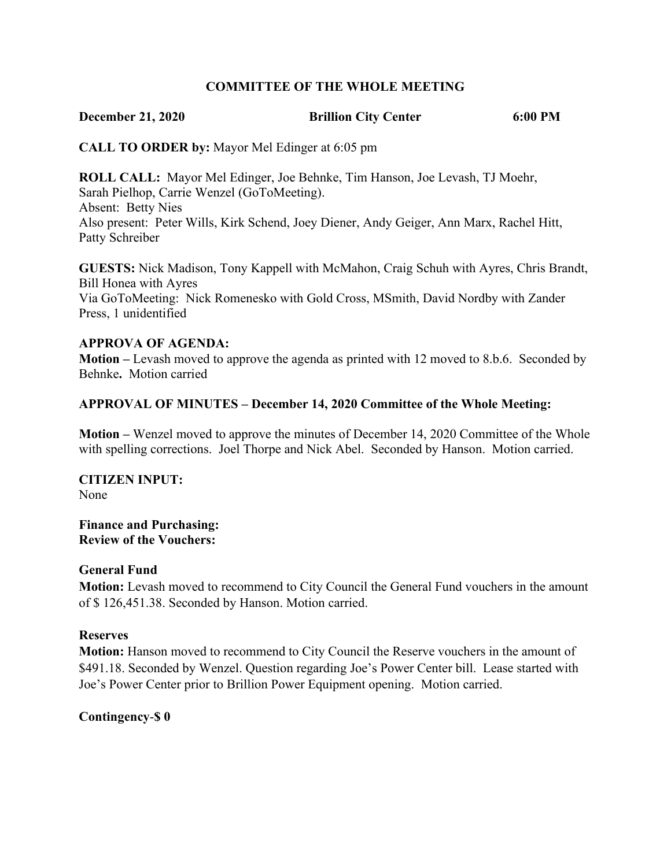## **COMMITTEE OF THE WHOLE MEETING**

## **December 21, 2020 Brillion City Center 6:00 PM**

**CALL TO ORDER by:** Mayor Mel Edinger at 6:05 pm

**ROLL CALL:** Mayor Mel Edinger, Joe Behnke, Tim Hanson, Joe Levash, TJ Moehr, Sarah Pielhop, Carrie Wenzel (GoToMeeting). Absent: Betty Nies Also present: Peter Wills, Kirk Schend, Joey Diener, Andy Geiger, Ann Marx, Rachel Hitt, Patty Schreiber

**GUESTS:** Nick Madison, Tony Kappell with McMahon, Craig Schuh with Ayres, Chris Brandt, Bill Honea with Ayres Via GoToMeeting: Nick Romenesko with Gold Cross, MSmith, David Nordby with Zander Press, 1 unidentified

## **APPROVA OF AGENDA:**

**Motion –** Levash moved to approve the agenda as printed with 12 moved to 8.b.6. Seconded by Behnke**.** Motion carried

## **APPROVAL OF MINUTES – December 14, 2020 Committee of the Whole Meeting:**

**Motion –** Wenzel moved to approve the minutes of December 14, 2020 Committee of the Whole with spelling corrections. Joel Thorpe and Nick Abel. Seconded by Hanson. Motion carried.

**CITIZEN INPUT:** None

**Finance and Purchasing: Review of the Vouchers:**

#### **General Fund**

**Motion:** Levash moved to recommend to City Council the General Fund vouchers in the amount of \$ 126,451.38. Seconded by Hanson. Motion carried.

#### **Reserves**

**Motion:** Hanson moved to recommend to City Council the Reserve vouchers in the amount of \$491.18. Seconded by Wenzel. Question regarding Joe's Power Center bill. Lease started with Joe's Power Center prior to Brillion Power Equipment opening. Motion carried.

## **Contingency**-**\$ 0**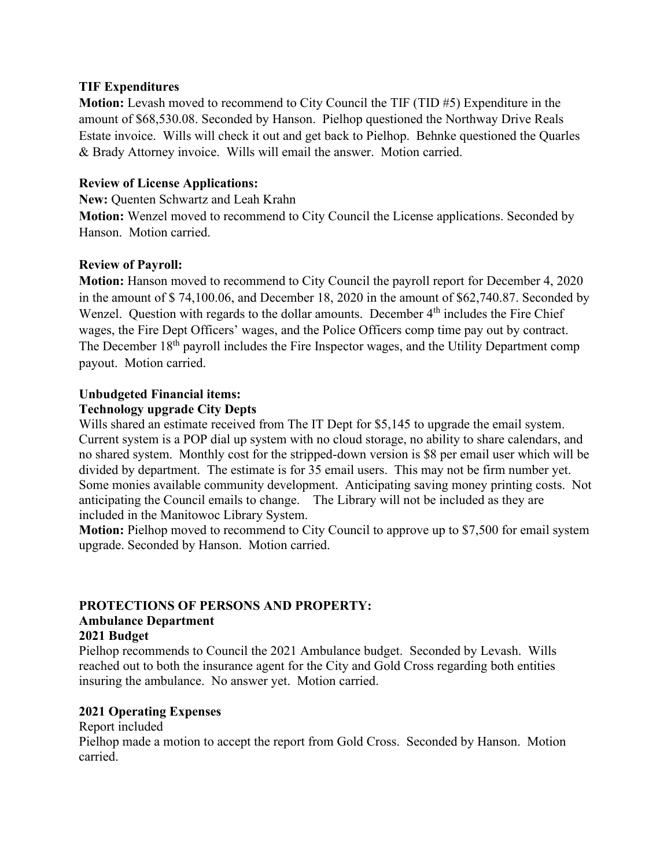## **TIF Expenditures**

**Motion:** Levash moved to recommend to City Council the TIF (TID #5) Expenditure in the amount of \$68,530.08. Seconded by Hanson. Pielhop questioned the Northway Drive Reals Estate invoice. Wills will check it out and get back to Pielhop. Behnke questioned the Quarles & Brady Attorney invoice. Wills will email the answer. Motion carried.

## **Review of License Applications:**

**New:** Quenten Schwartz and Leah Krahn

**Motion:** Wenzel moved to recommend to City Council the License applications. Seconded by Hanson. Motion carried.

# **Review of Payroll:**

**Motion:** Hanson moved to recommend to City Council the payroll report for December 4, 2020 in the amount of \$ 74,100.06, and December 18, 2020 in the amount of \$62,740.87. Seconded by Wenzel. Question with regards to the dollar amounts. December  $4<sup>th</sup>$  includes the Fire Chief wages, the Fire Dept Officers' wages, and the Police Officers comp time pay out by contract. The December 18<sup>th</sup> payroll includes the Fire Inspector wages, and the Utility Department comp payout. Motion carried.

## **Unbudgeted Financial items:**

## **Technology upgrade City Depts**

Wills shared an estimate received from The IT Dept for \$5,145 to upgrade the email system. Current system is a POP dial up system with no cloud storage, no ability to share calendars, and no shared system. Monthly cost for the stripped-down version is \$8 per email user which will be divided by department. The estimate is for 35 email users. This may not be firm number yet. Some monies available community development. Anticipating saving money printing costs. Not anticipating the Council emails to change. The Library will not be included as they are included in the Manitowoc Library System.

**Motion:** Pielhop moved to recommend to City Council to approve up to \$7,500 for email system upgrade. Seconded by Hanson. Motion carried.

## **PROTECTIONS OF PERSONS AND PROPERTY: Ambulance Department**

# **2021 Budget**

Pielhop recommends to Council the 2021 Ambulance budget. Seconded by Levash. Wills reached out to both the insurance agent for the City and Gold Cross regarding both entities insuring the ambulance. No answer yet. Motion carried.

# **2021 Operating Expenses**

Report included

Pielhop made a motion to accept the report from Gold Cross. Seconded by Hanson. Motion carried.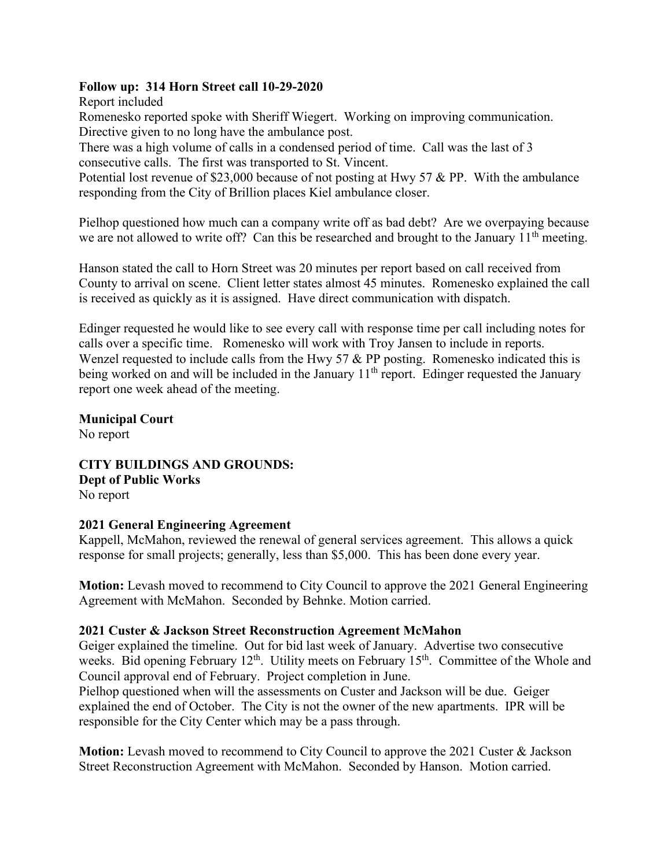## **Follow up: 314 Horn Street call 10-29-2020**

Report included

Romenesko reported spoke with Sheriff Wiegert. Working on improving communication. Directive given to no long have the ambulance post.

There was a high volume of calls in a condensed period of time. Call was the last of 3 consecutive calls. The first was transported to St. Vincent.

Potential lost revenue of \$23,000 because of not posting at Hwy 57 & PP. With the ambulance responding from the City of Brillion places Kiel ambulance closer.

Pielhop questioned how much can a company write off as bad debt? Are we overpaying because we are not allowed to write off? Can this be researched and brought to the January 11<sup>th</sup> meeting.

Hanson stated the call to Horn Street was 20 minutes per report based on call received from County to arrival on scene. Client letter states almost 45 minutes. Romenesko explained the call is received as quickly as it is assigned. Have direct communication with dispatch.

Edinger requested he would like to see every call with response time per call including notes for calls over a specific time. Romenesko will work with Troy Jansen to include in reports. Wenzel requested to include calls from the Hwy 57 & PP posting. Romenesko indicated this is being worked on and will be included in the January 11<sup>th</sup> report. Edinger requested the January report one week ahead of the meeting.

**Municipal Court** No report

**CITY BUILDINGS AND GROUNDS: Dept of Public Works** No report

## **2021 General Engineering Agreement**

Kappell, McMahon, reviewed the renewal of general services agreement. This allows a quick response for small projects; generally, less than \$5,000. This has been done every year.

**Motion:** Levash moved to recommend to City Council to approve the 2021 General Engineering Agreement with McMahon. Seconded by Behnke. Motion carried.

# **2021 Custer & Jackson Street Reconstruction Agreement McMahon**

Geiger explained the timeline. Out for bid last week of January. Advertise two consecutive weeks. Bid opening February 12<sup>th</sup>. Utility meets on February 15<sup>th</sup>. Committee of the Whole and Council approval end of February. Project completion in June.

Pielhop questioned when will the assessments on Custer and Jackson will be due. Geiger explained the end of October. The City is not the owner of the new apartments. IPR will be responsible for the City Center which may be a pass through.

**Motion:** Levash moved to recommend to City Council to approve the 2021 Custer & Jackson Street Reconstruction Agreement with McMahon. Seconded by Hanson. Motion carried.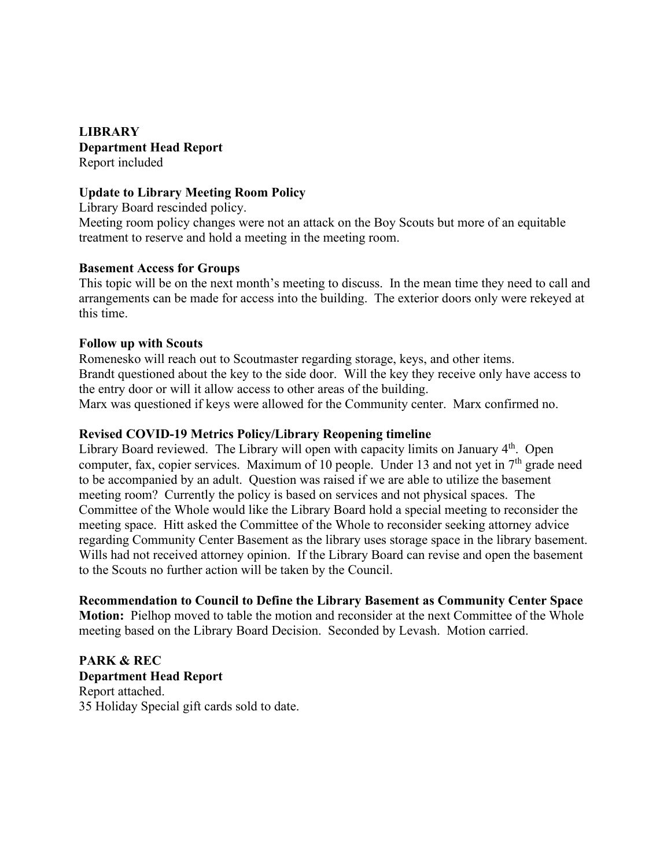**LIBRARY Department Head Report**  Report included

## **Update to Library Meeting Room Policy**

Library Board rescinded policy.

Meeting room policy changes were not an attack on the Boy Scouts but more of an equitable treatment to reserve and hold a meeting in the meeting room.

## **Basement Access for Groups**

This topic will be on the next month's meeting to discuss. In the mean time they need to call and arrangements can be made for access into the building. The exterior doors only were rekeyed at this time.

#### **Follow up with Scouts**

Romenesko will reach out to Scoutmaster regarding storage, keys, and other items. Brandt questioned about the key to the side door. Will the key they receive only have access to the entry door or will it allow access to other areas of the building. Marx was questioned if keys were allowed for the Community center. Marx confirmed no.

#### **Revised COVID-19 Metrics Policy/Library Reopening timeline**

Library Board reviewed. The Library will open with capacity limits on January  $4<sup>th</sup>$ . Open computer, fax, copier services. Maximum of 10 people. Under 13 and not yet in  $7<sup>th</sup>$  grade need to be accompanied by an adult. Question was raised if we are able to utilize the basement meeting room? Currently the policy is based on services and not physical spaces. The Committee of the Whole would like the Library Board hold a special meeting to reconsider the meeting space. Hitt asked the Committee of the Whole to reconsider seeking attorney advice regarding Community Center Basement as the library uses storage space in the library basement. Wills had not received attorney opinion. If the Library Board can revise and open the basement to the Scouts no further action will be taken by the Council.

**Recommendation to Council to Define the Library Basement as Community Center Space Motion:** Pielhop moved to table the motion and reconsider at the next Committee of the Whole meeting based on the Library Board Decision. Seconded by Levash. Motion carried.

**PARK & REC Department Head Report** Report attached. 35 Holiday Special gift cards sold to date.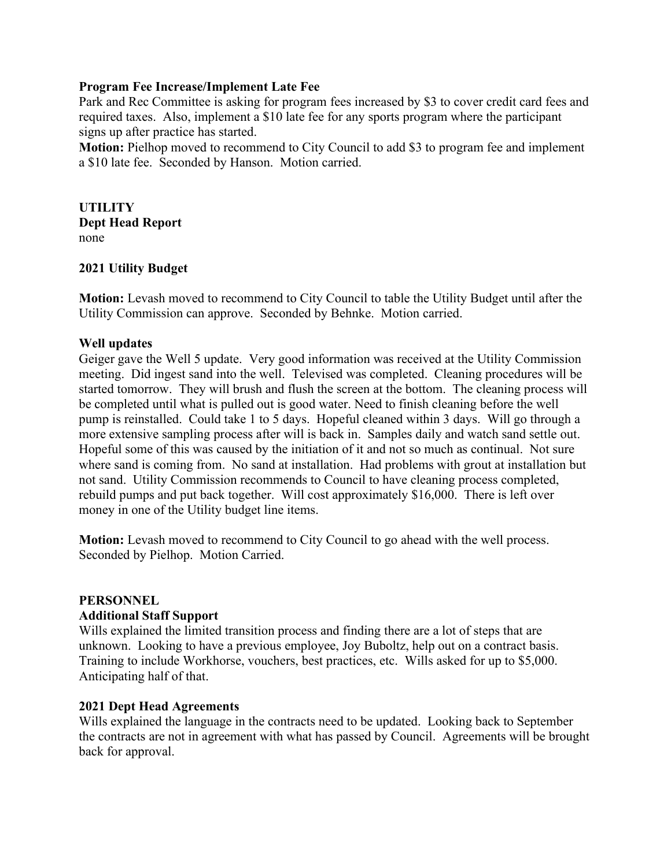## **Program Fee Increase/Implement Late Fee**

Park and Rec Committee is asking for program fees increased by \$3 to cover credit card fees and required taxes. Also, implement a \$10 late fee for any sports program where the participant signs up after practice has started.

**Motion:** Pielhop moved to recommend to City Council to add \$3 to program fee and implement a \$10 late fee. Seconded by Hanson. Motion carried.

**UTILITY Dept Head Report** none

## **2021 Utility Budget**

**Motion:** Levash moved to recommend to City Council to table the Utility Budget until after the Utility Commission can approve. Seconded by Behnke. Motion carried.

#### **Well updates**

Geiger gave the Well 5 update. Very good information was received at the Utility Commission meeting. Did ingest sand into the well. Televised was completed. Cleaning procedures will be started tomorrow. They will brush and flush the screen at the bottom. The cleaning process will be completed until what is pulled out is good water. Need to finish cleaning before the well pump is reinstalled. Could take 1 to 5 days. Hopeful cleaned within 3 days. Will go through a more extensive sampling process after will is back in. Samples daily and watch sand settle out. Hopeful some of this was caused by the initiation of it and not so much as continual. Not sure where sand is coming from. No sand at installation. Had problems with grout at installation but not sand. Utility Commission recommends to Council to have cleaning process completed, rebuild pumps and put back together. Will cost approximately \$16,000. There is left over money in one of the Utility budget line items.

**Motion:** Levash moved to recommend to City Council to go ahead with the well process. Seconded by Pielhop. Motion Carried.

#### **PERSONNEL**

#### **Additional Staff Support**

Wills explained the limited transition process and finding there are a lot of steps that are unknown. Looking to have a previous employee, Joy Buboltz, help out on a contract basis. Training to include Workhorse, vouchers, best practices, etc. Wills asked for up to \$5,000. Anticipating half of that.

#### **2021 Dept Head Agreements**

Wills explained the language in the contracts need to be updated. Looking back to September the contracts are not in agreement with what has passed by Council. Agreements will be brought back for approval.